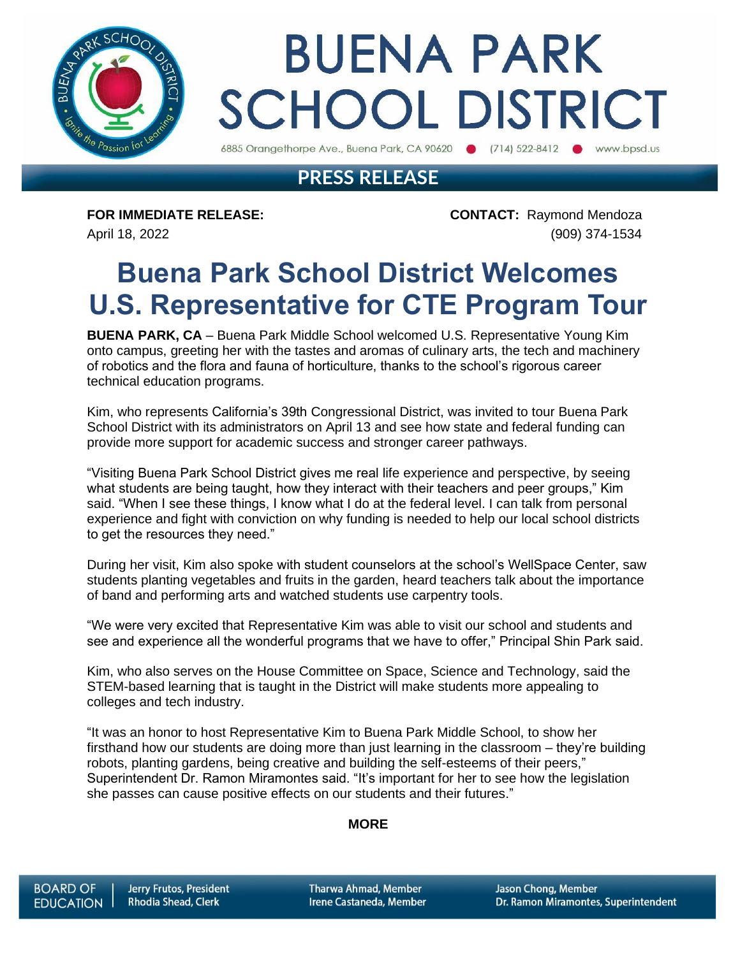

# **BUENA PARK SCHOOL DISTRICT**

6885 Orangethorpe Ave., Buena Park, CA 90620 (714) 522-8412 www.bpsd.us

### **PRESS RELEASE**

**FOR IMMEDIATE RELEASE: CONTACT:** Raymond Mendoza April 18, 2022 (909) 374-1534

## **Buena Park School District Welcomes U.S. Representative for CTE Program Tour**

**BUENA PARK, CA** – Buena Park Middle School welcomed U.S. Representative Young Kim onto campus, greeting her with the tastes and aromas of culinary arts, the tech and machinery of robotics and the flora and fauna of horticulture, thanks to the school's rigorous career technical education programs.

Kim, who represents California's 39th Congressional District, was invited to tour Buena Park School District with its administrators on April 13 and see how state and federal funding can provide more support for academic success and stronger career pathways.

"Visiting Buena Park School District gives me real life experience and perspective, by seeing what students are being taught, how they interact with their teachers and peer groups," Kim said. "When I see these things, I know what I do at the federal level. I can talk from personal experience and fight with conviction on why funding is needed to help our local school districts to get the resources they need."

During her visit, Kim also spoke with student counselors at the school's WellSpace Center, saw students planting vegetables and fruits in the garden, heard teachers talk about the importance of band and performing arts and watched students use carpentry tools.

"We were very excited that Representative Kim was able to visit our school and students and see and experience all the wonderful programs that we have to offer," Principal Shin Park said.

Kim, who also serves on the House Committee on Space, Science and Technology, said the STEM-based learning that is taught in the District will make students more appealing to colleges and tech industry.

"It was an honor to host Representative Kim to Buena Park Middle School, to show her firsthand how our students are doing more than just learning in the classroom – they're building robots, planting gardens, being creative and building the self-esteems of their peers," Superintendent Dr. Ramon Miramontes said. "It's important for her to see how the legislation she passes can cause positive effects on our students and their futures."

#### **MORE**